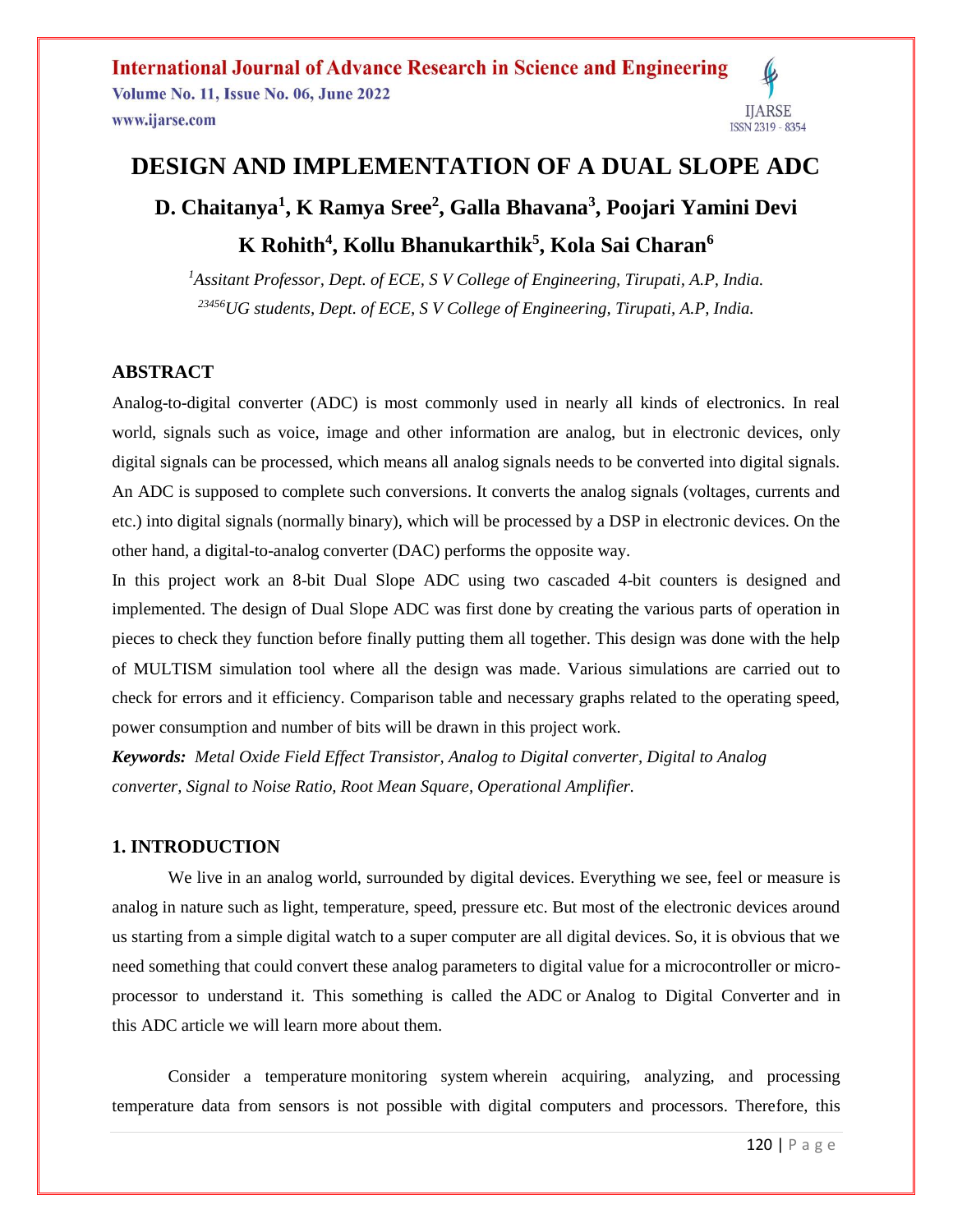# **DESIGN AND IMPLEMENTATION OF A DUAL SLOPE ADC D. Chaitanya<sup>1</sup> , K Ramya Sree<sup>2</sup> , Galla Bhavana<sup>3</sup> , Poojari Yamini Devi K Rohith<sup>4</sup> , Kollu Bhanukarthik<sup>5</sup> , Kola Sai Charan<sup>6</sup>**

*<sup>1</sup>Assitant Professor, Dept. of ECE, S V College of Engineering, Tirupati, A.P, India. <sup>23456</sup>UG students, Dept. of ECE, S V College of Engineering, Tirupati, A.P, India.*

#### **ABSTRACT**

Analog-to-digital converter (ADC) is most commonly used in nearly all kinds of electronics. In real world, signals such as voice, image and other information are analog, but in electronic devices, only digital signals can be processed, which means all analog signals needs to be converted into digital signals. An ADC is supposed to complete such conversions. It converts the analog signals (voltages, currents and etc.) into digital signals (normally binary), which will be processed by a DSP in electronic devices. On the other hand, a digital-to-analog converter (DAC) performs the opposite way.

In this project work an 8-bit Dual Slope ADC using two cascaded 4-bit counters is designed and implemented. The design of Dual Slope ADC was first done by creating the various parts of operation in pieces to check they function before finally putting them all together. This design was done with the help of MULTISM simulation tool where all the design was made. Various simulations are carried out to check for errors and it efficiency. Comparison table and necessary graphs related to the operating speed, power consumption and number of bits will be drawn in this project work.

*Keywords: Metal Oxide Field Effect Transistor, Analog to Digital converter, Digital to Analog converter, Signal to Noise Ratio, Root Mean Square, Operational Amplifier.*

#### **1. INTRODUCTION**

We live in an analog world, surrounded by digital devices. Everything we see, feel or measure is analog in nature such as light, temperature, speed, pressure etc. But most of the electronic devices around us starting from a simple digital watch to a super computer are all digital devices. So, it is obvious that we need something that could convert these analog parameters to digital value for a microcontroller or microprocessor to understand it. This something is called the ADC or Analog to Digital Converter and in this ADC article we will learn more about them.

Consider a temperature [monitoring system](https://www.elprocus.com/microcontroller-based-project-on-patient-monitoring-system/) wherein acquiring, analyzing, and processing temperature data from sensors is not possible with digital computers and processors. Therefore, this

**IJARSE**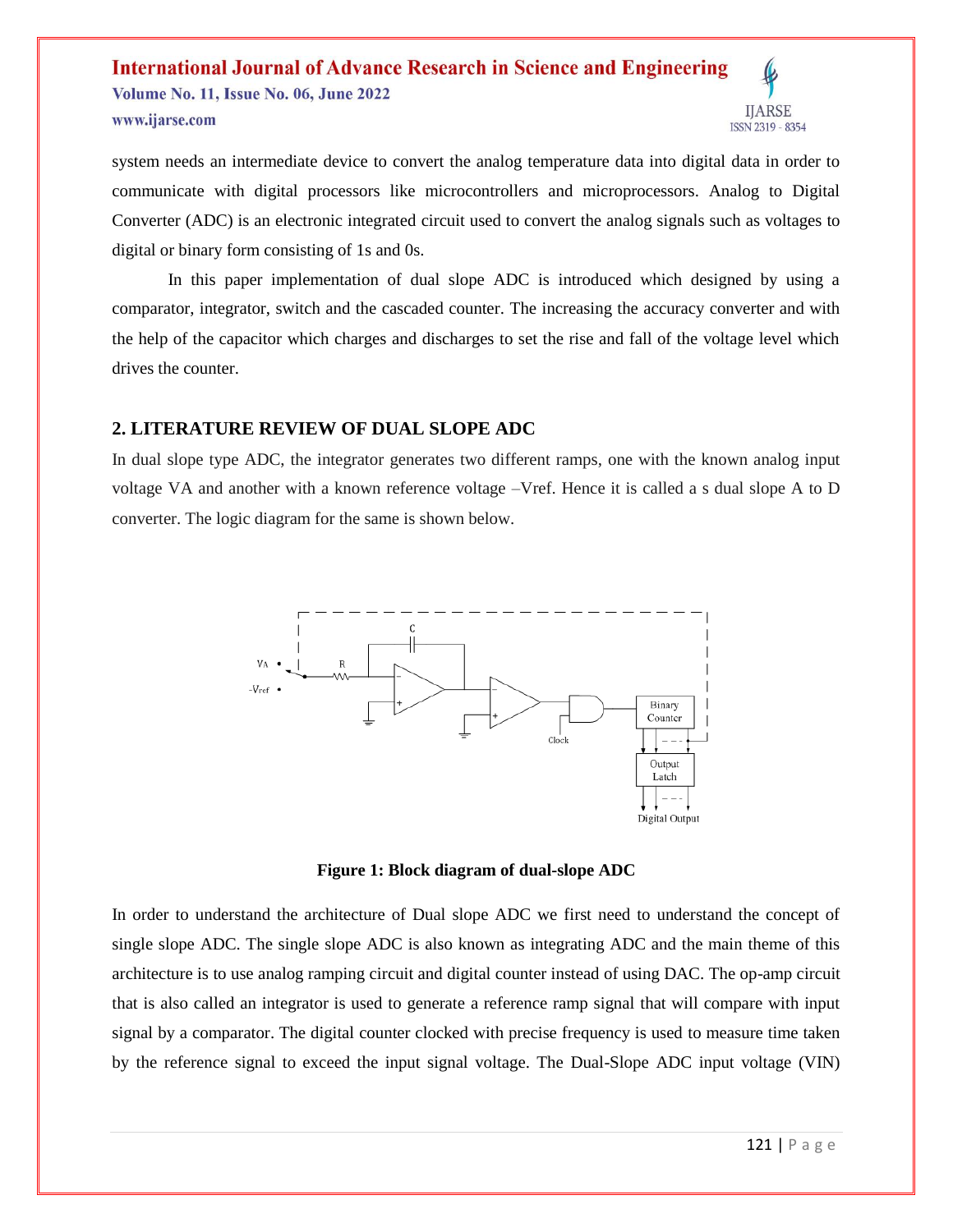#### **International Journal of Advance Research in Science and Engineering Volume No. 11, Issue No. 06, June 2022 IJARSE** www.ijarse.com ISSN 2319 - 8354

system needs an intermediate device to convert the analog temperature data into digital data in order to communicate with digital processors like microcontrollers and microprocessors. Analog to Digital Converter (ADC) is an electronic integrated circuit used to convert the analog signals such as voltages to digital or binary form consisting of 1s and 0s.

In this paper implementation of dual slope ADC is introduced which designed by using a comparator, integrator, switch and the cascaded counter. The increasing the accuracy converter and with the help of the capacitor which charges and discharges to set the rise and fall of the voltage level which drives the counter.

#### **2. LITERATURE REVIEW OF DUAL SLOPE ADC**

In dual slope type ADC, the integrator generates two different ramps, one with the known analog input voltage VA and another with a known reference voltage –Vref. Hence it is called a s dual slope A to D converter. The logic diagram for the same is shown below.



**Figure 1: Block diagram of dual-slope ADC**

In order to understand the architecture of Dual slope ADC we first need to understand the concept of single slope ADC. The single slope ADC is also known as integrating ADC and the main theme of this architecture is to use analog ramping circuit and digital counter instead of using DAC. The op-amp circuit that is also called an integrator is used to generate a reference ramp signal that will compare with input signal by a comparator. The digital counter clocked with precise frequency is used to measure time taken by the reference signal to exceed the input signal voltage. The Dual-Slope ADC input voltage (VIN)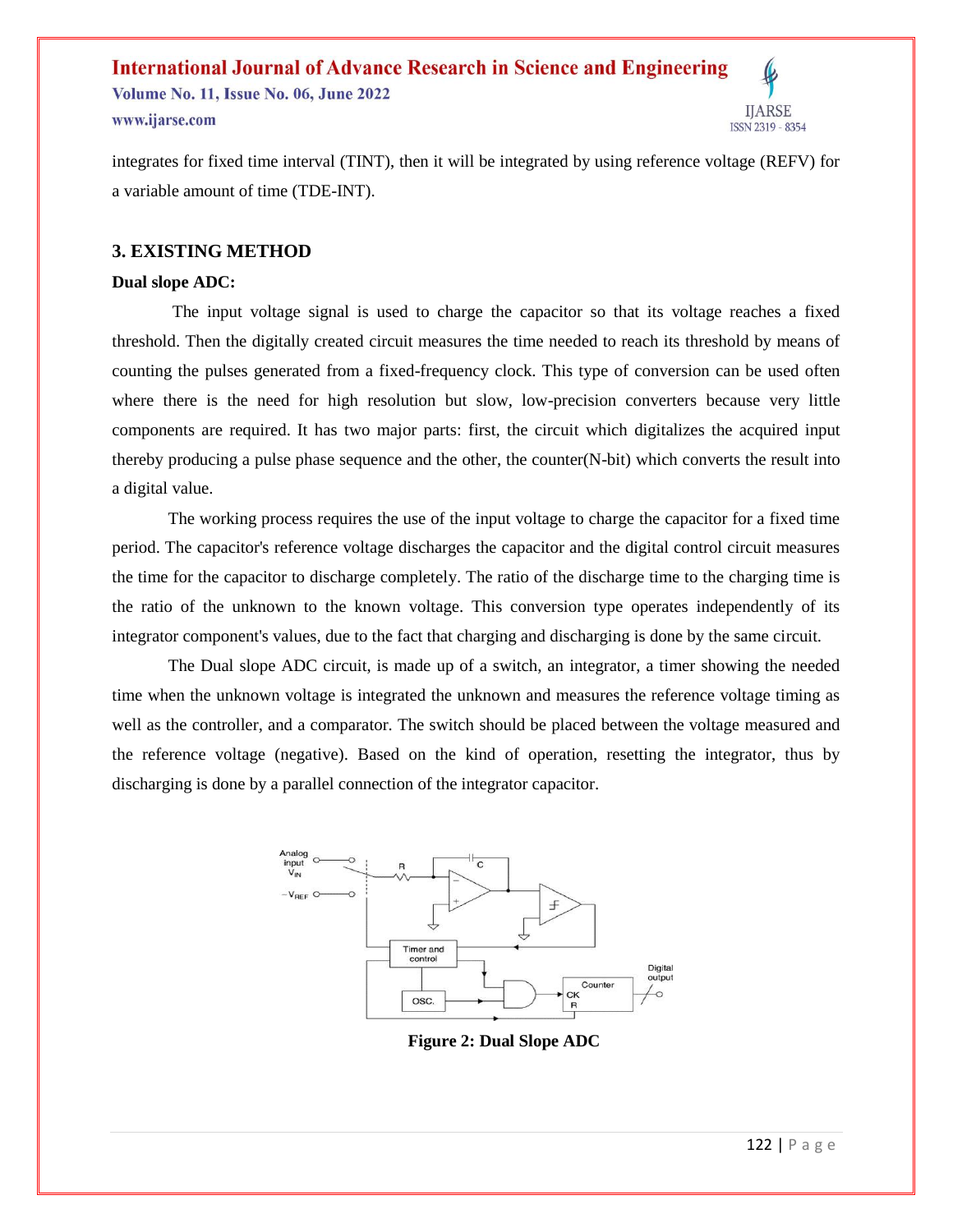**Volume No. 11, Issue No. 06, June 2022** www.ijarse.com

integrates for fixed time interval (TINT), then it will be integrated by using reference voltage (REFV) for a variable amount of time (TDE-INT).

#### **3. EXISTING METHOD**

#### **Dual slope ADC:**

The input voltage signal is used to charge the capacitor so that its voltage reaches a fixed threshold. Then the digitally created circuit measures the time needed to reach its threshold by means of counting the pulses generated from a fixed-frequency clock. This type of conversion can be used often where there is the need for high resolution but slow, low-precision converters because very little components are required. It has two major parts: first, the circuit which digitalizes the acquired input thereby producing a pulse phase sequence and the other, the counter $(N$ -bit) which converts the result into a digital value.

The working process requires the use of the input voltage to charge the capacitor for a fixed time period. The capacitor's reference voltage discharges the capacitor and the digital control circuit measures the time for the capacitor to discharge completely. The ratio of the discharge time to the charging time is the ratio of the unknown to the known voltage. This conversion type operates independently of its integrator component's values, due to the fact that charging and discharging is done by the same circuit.

The Dual slope ADC circuit, is made up of a switch, an integrator, a timer showing the needed time when the unknown voltage is integrated the unknown and measures the reference voltage timing as well as the controller, and a comparator. The switch should be placed between the voltage measured and the reference voltage (negative). Based on the kind of operation, resetting the integrator, thus by discharging is done by a parallel connection of the integrator capacitor.



**Figure 2: Dual Slope ADC**

**IJARSE** 

ISSN 2319 - 8354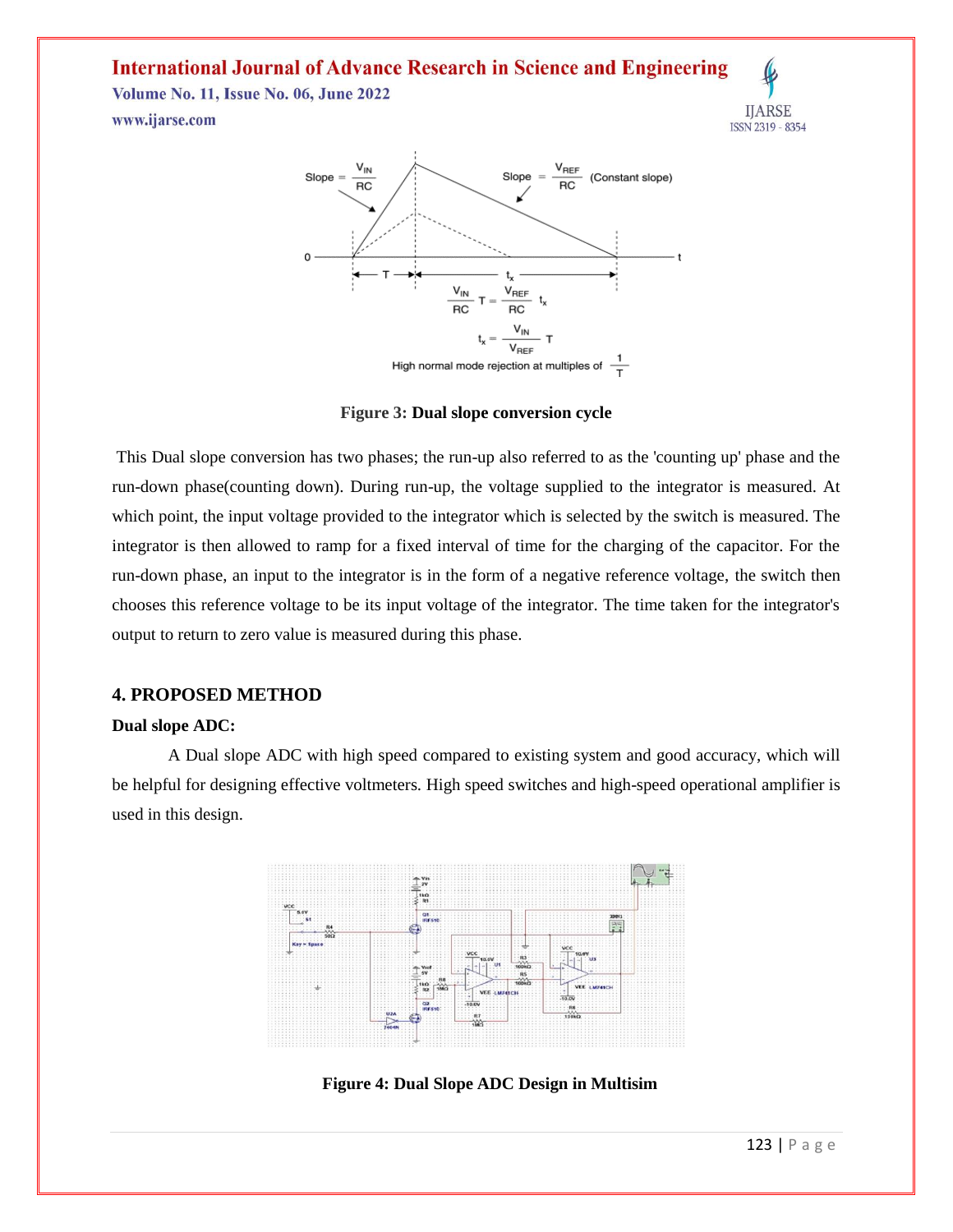**Volume No. 11, Issue No. 06, June 2022** www.ijarse.com





**Figure 3: Dual slope conversion cycle**

This Dual slope conversion has two phases; the run-up also referred to as the 'counting up' phase and the run-down phase(counting down). During run-up, the voltage supplied to the integrator is measured. At which point, the input voltage provided to the integrator which is selected by the switch is measured. The integrator is then allowed to ramp for a fixed interval of time for the charging of the capacitor. For the run-down phase, an input to the integrator is in the form of a negative reference voltage, the switch then chooses this reference voltage to be its input voltage of the integrator. The time taken for the integrator's output to return to zero value is measured during this phase.

#### **4. PROPOSED METHOD**

#### **Dual slope ADC:**

A Dual slope ADC with high speed compared to existing system and good accuracy, which will be helpful for designing effective voltmeters. High speed switches and high-speed operational amplifier is used in this design.



**Figure 4: Dual Slope ADC Design in Multisim**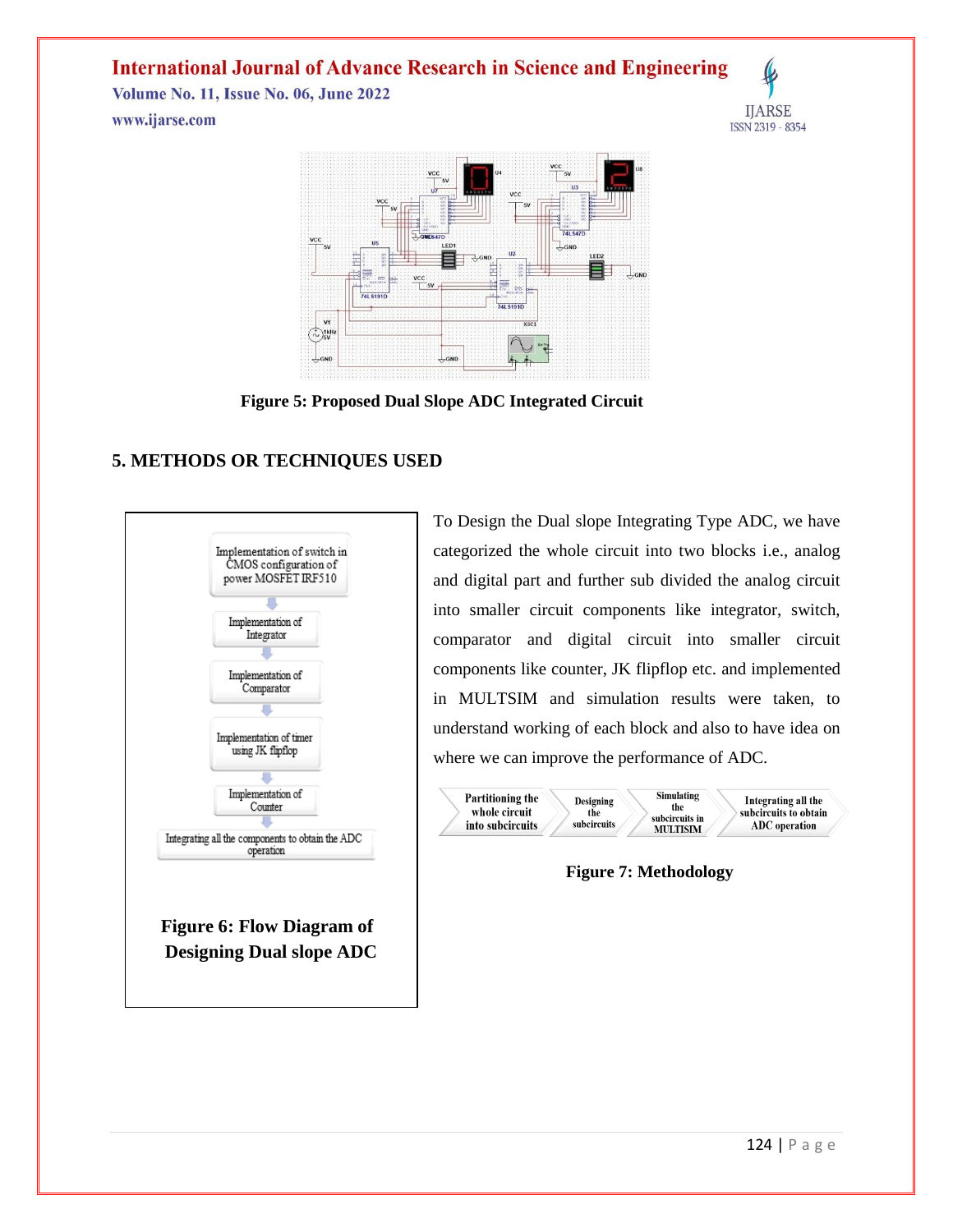**Volume No. 11, Issue No. 06, June 2022** www.ijarse.com





**Figure 5: Proposed Dual Slope ADC Integrated Circuit**

### **5. METHODS OR TECHNIQUES USED**



To Design the Dual slope Integrating Type ADC, we have categorized the whole circuit into two blocks i.e., analog and digital part and further sub divided the analog circuit into smaller circuit components like integrator, switch, comparator and digital circuit into smaller circuit components like counter, JK flipflop etc. and implemented in MULTSIM and simulation results were taken, to understand working of each block and also to have idea on where we can improve the performance of ADC.



**Figure 7: Methodology**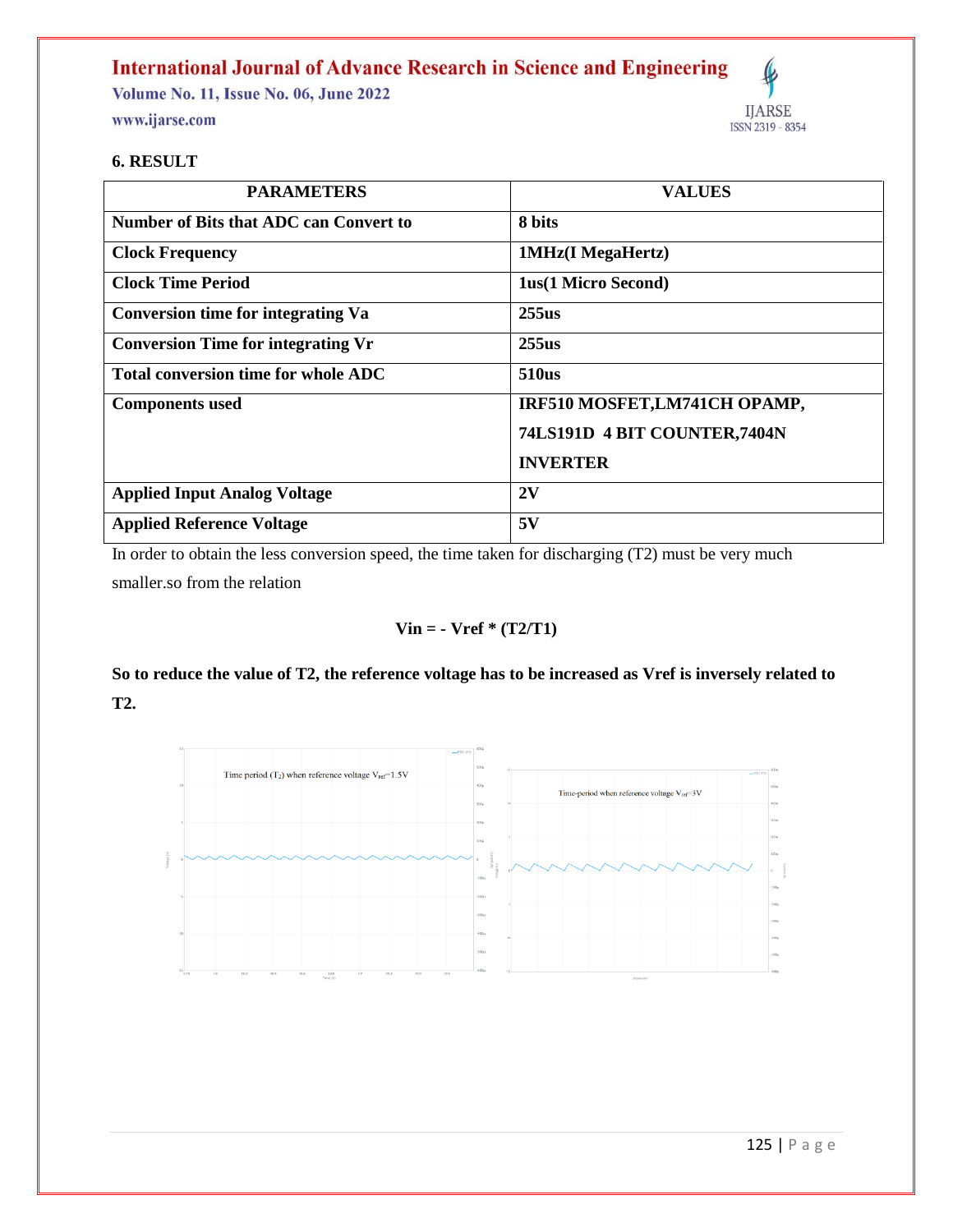**Volume No. 11, Issue No. 06, June 2022** www.ijarse.com



#### **6. RESULT**

| <b>PARAMETERS</b>                          | <b>VALUES</b>                 |
|--------------------------------------------|-------------------------------|
| Number of Bits that ADC can Convert to     | 8 bits                        |
| <b>Clock Frequency</b>                     | 1MHz(I MegaHertz)             |
| <b>Clock Time Period</b>                   | <b>1us(1 Micro Second)</b>    |
| <b>Conversion time for integrating Va</b>  | 255us                         |
| <b>Conversion Time for integrating Vr</b>  | 255us                         |
| <b>Total conversion time for whole ADC</b> | <b>510us</b>                  |
| <b>Components</b> used                     | IRF510 MOSFET, LM741CH OPAMP, |
|                                            | 74LS191D 4 BIT COUNTER,7404N  |
|                                            | <b>INVERTER</b>               |
| <b>Applied Input Analog Voltage</b>        | 2V                            |
| <b>Applied Reference Voltage</b>           | 5V                            |

In order to obtain the less conversion speed, the time taken for discharging (T2) must be very much

smaller.so from the relation

### **Vin = - Vref \* (T2/T1)**

# **So to reduce the value of T2, the reference voltage has to be increased as Vref is inversely related to T2.**

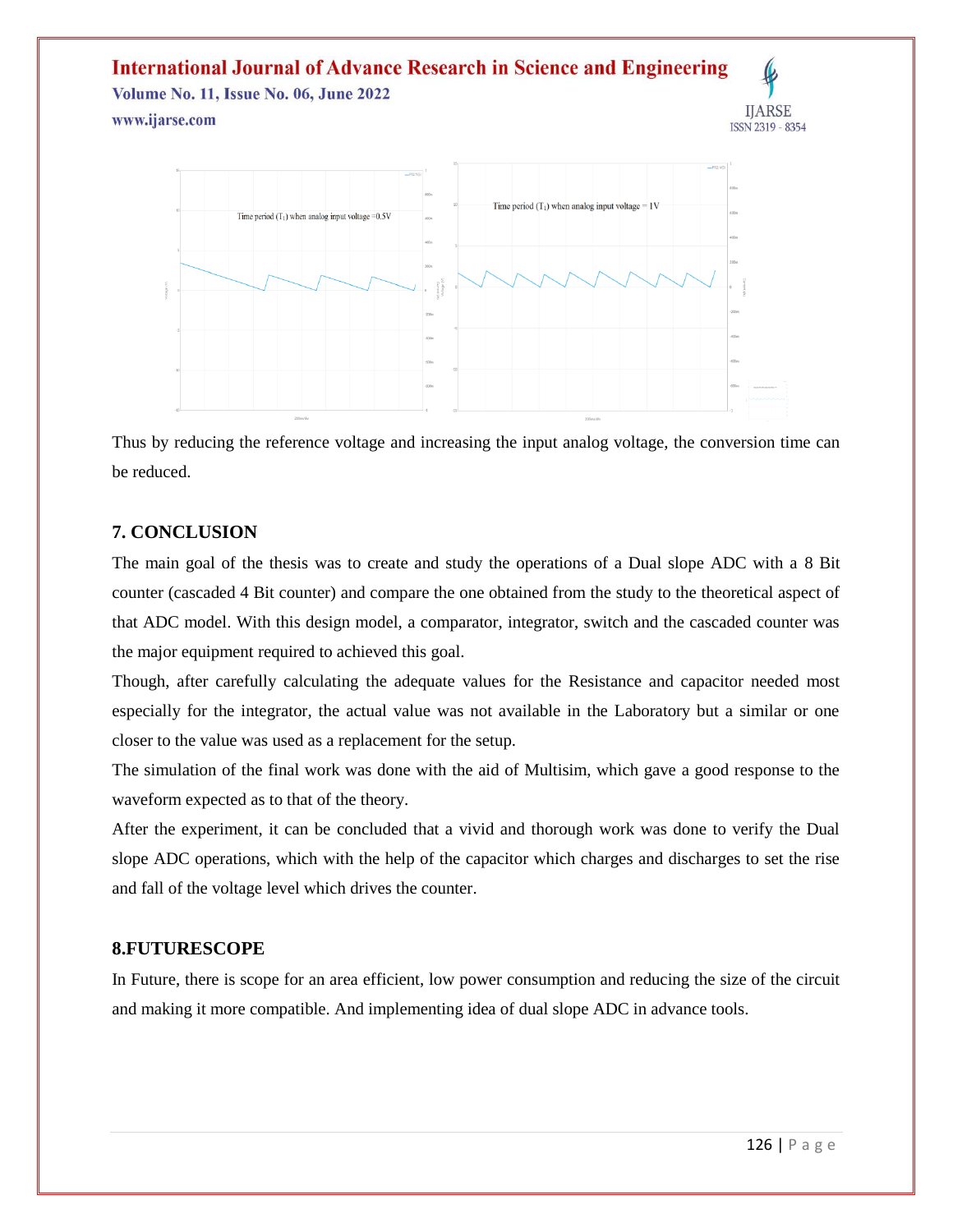**Volume No. 11, Issue No. 06, June 2022** www.ijarse.com



Thus by reducing the reference voltage and increasing the input analog voltage, the conversion time can be reduced.

### **7. CONCLUSION**

The main goal of the thesis was to create and study the operations of a Dual slope ADC with a 8 Bit counter (cascaded 4 Bit counter) and compare the one obtained from the study to the theoretical aspect of that ADC model. With this design model, a comparator, integrator, switch and the cascaded counter was the major equipment required to achieved this goal.

Though, after carefully calculating the adequate values for the Resistance and capacitor needed most especially for the integrator, the actual value was not available in the Laboratory but a similar or one closer to the value was used as a replacement for the setup.

The simulation of the final work was done with the aid of Multisim, which gave a good response to the waveform expected as to that of the theory.

After the experiment, it can be concluded that a vivid and thorough work was done to verify the Dual slope ADC operations, which with the help of the capacitor which charges and discharges to set the rise and fall of the voltage level which drives the counter.

### **8.FUTURESCOPE**

In Future, there is scope for an area efficient, low power consumption and reducing the size of the circuit and making it more compatible. And implementing idea of dual slope ADC in advance tools.

**IJARSE** 

ISSN 2319 - 8354